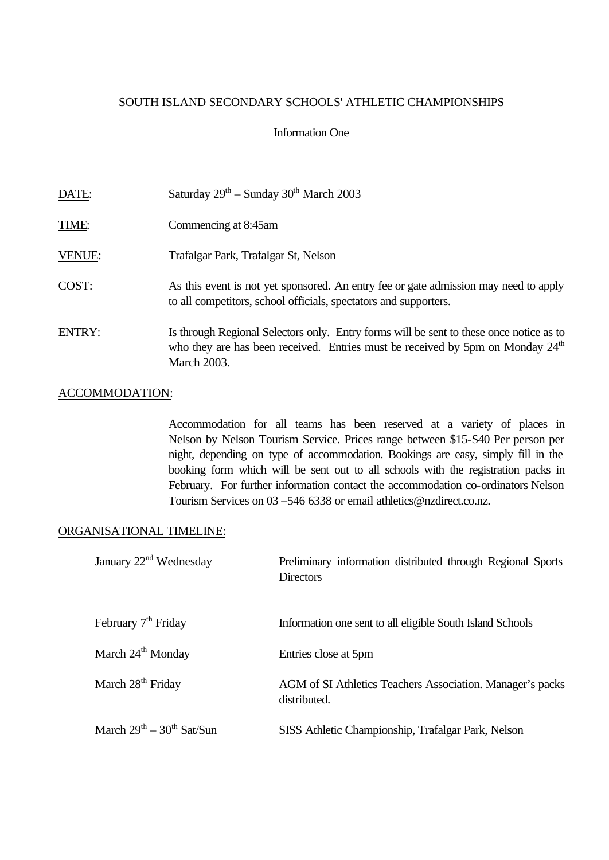#### SOUTH ISLAND SECONDARY SCHOOLS' ATHLETIC CHAMPIONSHIPS

#### Information One

| DATE:         | Saturday $29th$ – Sunday 30 <sup>th</sup> March 2003                                                                                                                                                        |
|---------------|-------------------------------------------------------------------------------------------------------------------------------------------------------------------------------------------------------------|
| <b>TIME:</b>  | Commencing at 8:45am                                                                                                                                                                                        |
| VENUE:        | Trafalgar Park, Trafalgar St, Nelson                                                                                                                                                                        |
| COST:         | As this event is not yet sponsored. An entry fee or gate admission may need to apply<br>to all competitors, school officials, spectators and supporters.                                                    |
| <b>ENTRY:</b> | Is through Regional Selectors only. Entry forms will be sent to these once notice as to<br>who they are has been received. Entries must be received by 5pm on Monday 24 <sup>th</sup><br><b>March 2003.</b> |

#### ACCOMMODATION:

Accommodation for all teams has been reserved at a variety of places in Nelson by Nelson Tourism Service. Prices range between \$15-\$40 Per person per night, depending on type of accommodation. Bookings are easy, simply fill in the booking form which will be sent out to all schools with the registration packs in February. For further information contact the accommodation co-ordinators Nelson Tourism Services on 03 –546 6338 or email athletics@nzdirect.co.nz.

#### ORGANISATIONAL TIMELINE:

| January $22nd$ Wednesday        | Preliminary information distributed through Regional Sports<br><b>Directors</b> |
|---------------------------------|---------------------------------------------------------------------------------|
| February 7 <sup>th</sup> Friday | Information one sent to all eligible South Island Schools                       |
| March 24 <sup>th</sup> Monday   | Entries close at 5pm                                                            |
| March 28 <sup>th</sup> Friday   | AGM of SI Athletics Teachers Association. Manager's packs<br>distributed.       |
| March $29th - 30th$ Sat/Sun     | SISS Athletic Championship, Trafalgar Park, Nelson                              |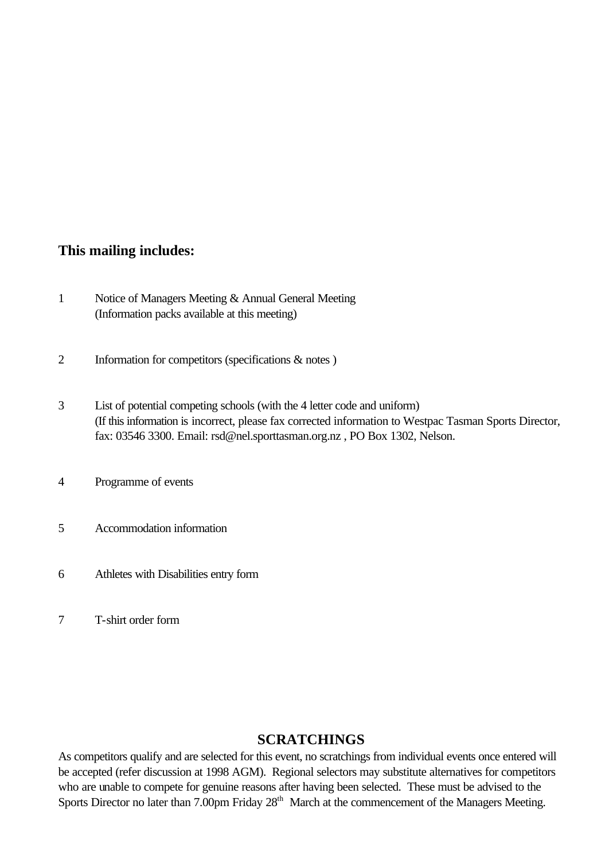### **This mailing includes:**

- 1 Notice of Managers Meeting & Annual General Meeting (Information packs available at this meeting)
- 2 Information for competitors (specifications & notes )
- 3 List of potential competing schools (with the 4 letter code and uniform) (If this information is incorrect, please fax corrected information to Westpac Tasman Sports Director, fax: 03546 3300. Email: rsd@nel.sporttasman.org.nz , PO Box 1302, Nelson.
- 4 Programme of events
- 5 Accommodation information
- 6 Athletes with Disabilities entry form
- 7 T-shirt order form

### **SCRATCHINGS**

As competitors qualify and are selected for this event, no scratchings from individual events once entered will be accepted (refer discussion at 1998 AGM). Regional selectors may substitute alternatives for competitors who are unable to compete for genuine reasons after having been selected. These must be advised to the Sports Director no later than 7.00pm Friday 28<sup>th</sup> March at the commencement of the Managers Meeting.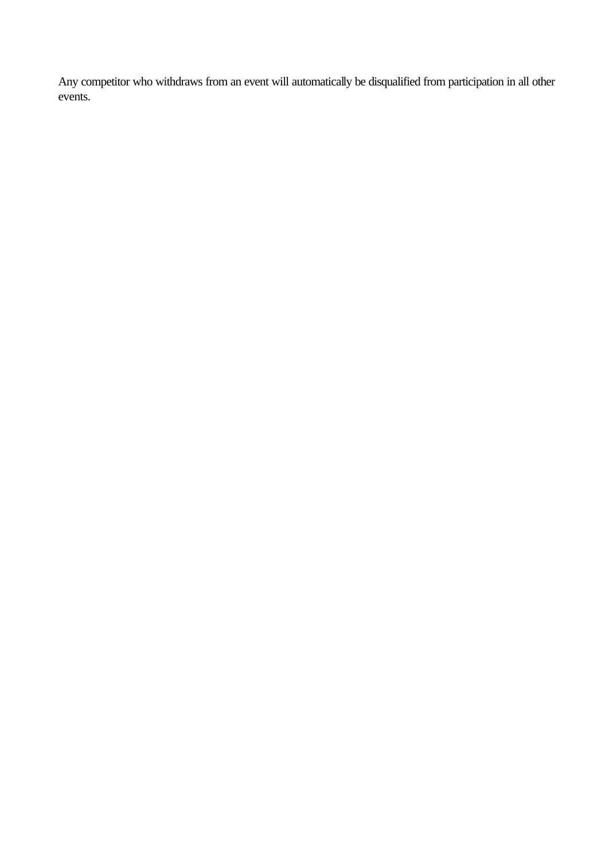Any competitor who withdraws from an event will automatically be disqualified from participation in all other events.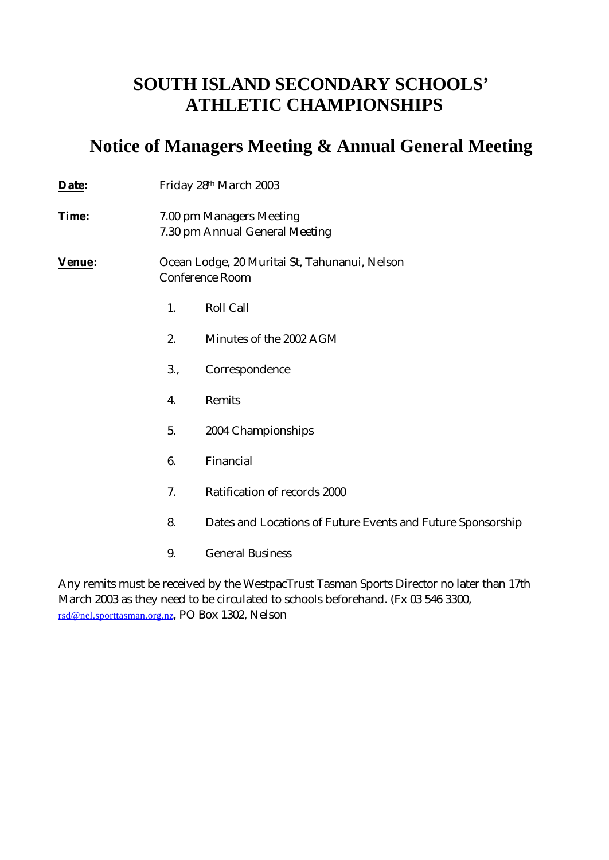## **SOUTH ISLAND SECONDARY SCHOOLS' ATHLETIC CHAMPIONSHIPS**

## **Notice of Managers Meeting & Annual General Meeting**

| <b>Date:</b>  |     | Friday 28th March 2003                                                  |  |  |  |
|---------------|-----|-------------------------------------------------------------------------|--|--|--|
| <u>Time</u> : |     | 7.00 pm Managers Meeting<br>7.30 pm Annual General Meeting              |  |  |  |
| Venue:        |     | Ocean Lodge, 20 Muritai St, Tahunanui, Nelson<br><b>Conference Room</b> |  |  |  |
|               | 1.  | <b>Roll Call</b>                                                        |  |  |  |
|               | 2.  | Minutes of the 2002 AGM                                                 |  |  |  |
|               | 3., | Correspondence                                                          |  |  |  |
|               | 4.  | Remits                                                                  |  |  |  |
|               | 5.  | 2004 Championships                                                      |  |  |  |
|               | 6.  | Financial                                                               |  |  |  |
|               | 7.  | Ratification of records 2000                                            |  |  |  |
|               | 8.  | Dates and Locations of Future Events and Future Sponsorship             |  |  |  |
|               | 9.  | <b>General Business</b>                                                 |  |  |  |

Any remits must be received by the WestpacTrust Tasman Sports Director no later than 17th March 2003 as they need to be circulated to schools beforehand. (Fx 03 546 3300, rsd@nel.sporttasman.org.nz, PO Box 1302, Nelson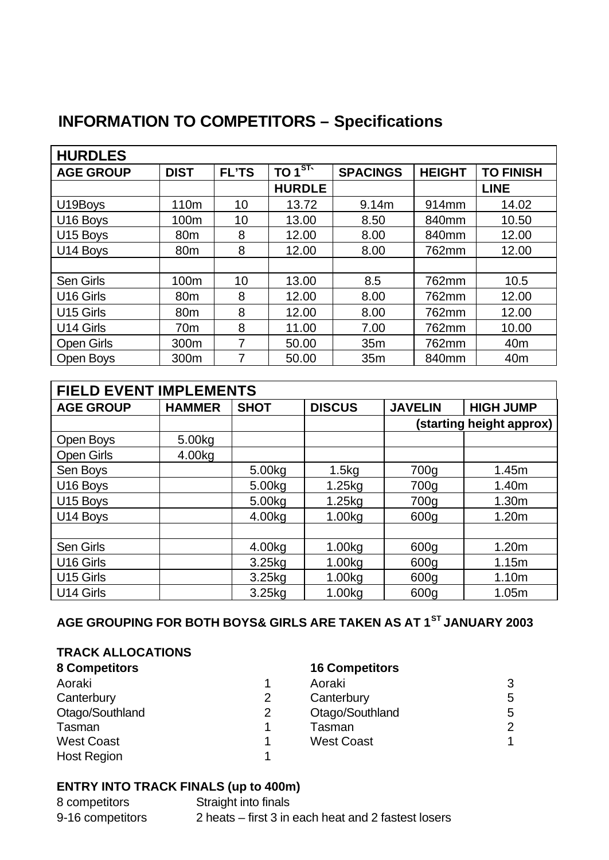# **INFORMATION TO COMPETITORS – Specifications**

| <b>HURDLES</b>        |                 |              |                    |                 |               |                  |
|-----------------------|-----------------|--------------|--------------------|-----------------|---------------|------------------|
| <b>AGE GROUP</b>      | <b>DIST</b>     | <b>FL'TS</b> | TO 1 <sup>ST</sup> | <b>SPACINGS</b> | <b>HEIGHT</b> | <b>TO FINISH</b> |
|                       |                 |              | <b>HURDLE</b>      |                 |               | <b>LINE</b>      |
| U19Boys               | 110m            | 10           | 13.72              | 9.14m           | 914mm         | 14.02            |
| U <sub>16</sub> Boys  | 100m            | 10           | 13.00              | 8.50            | 840mm         | 10.50            |
| U15 Boys              | 80 <sub>m</sub> | 8            | 12.00              | 8.00            | 840mm         | 12.00            |
| U14 Boys              | 80 <sub>m</sub> | 8            | 12.00              | 8.00            | 762mm         | 12.00            |
|                       |                 |              |                    |                 |               |                  |
| <b>Sen Girls</b>      | 100m            | 10           | 13.00              | 8.5             | 762mm         | 10.5             |
| U <sub>16</sub> Girls | 80 <sub>m</sub> | 8            | 12.00              | 8.00            | 762mm         | 12.00            |
| U15 Girls             | 80 <sub>m</sub> | 8            | 12.00              | 8.00            | 762mm         | 12.00            |
| U14 Girls             | 70 <sub>m</sub> | 8            | 11.00              | 7.00            | 762mm         | 10.00            |
| <b>Open Girls</b>     | 300m            | 7            | 50.00              | 35m             | 762mm         | 40 <sub>m</sub>  |
| Open Boys             | 300m            | 7            | 50.00              | 35m             | 840mm         | 40 <sub>m</sub>  |

| <b>FIELD EVENT IMPLEMENTS</b> |               |                    |               |                |                          |
|-------------------------------|---------------|--------------------|---------------|----------------|--------------------------|
| <b>AGE GROUP</b>              | <b>HAMMER</b> | <b>SHOT</b>        | <b>DISCUS</b> | <b>JAVELIN</b> | <b>HIGH JUMP</b>         |
|                               |               |                    |               |                | (starting height approx) |
| Open Boys                     | 5.00kg        |                    |               |                |                          |
| <b>Open Girls</b>             | 4.00kg        |                    |               |                |                          |
| Sen Boys                      |               | 5.00kg             | 1.5kg         | 700g           | 1.45m                    |
| U <sub>16</sub> Boys          |               | 5.00kg             | 1.25kg        | 700g           | 1.40m                    |
| U <sub>15</sub> Boys          |               | 5.00kg             | 1.25kg        | 700g           | 1.30m                    |
| U14 Boys                      |               | 4.00kg             | 1.00kg        | 600g           | 1.20m                    |
|                               |               |                    |               |                |                          |
| <b>Sen Girls</b>              |               | 4.00kg             | 1.00kg        | 600g           | 1.20m                    |
| U <sub>16</sub> Girls         |               | 3.25 <sub>kq</sub> | 1.00kg        | 600g           | 1.15m                    |
| U15 Girls                     |               | 3.25 <sub>kq</sub> | 1.00kg        | 600g           | 1.10m                    |
| U14 Girls                     |               | 3.25 <sub>kq</sub> | 1.00kg        | 600g           | 1.05m                    |

## **AGE GROUPING FOR BOTH BOYS& GIRLS ARE TAKEN AS AT 1ST JANUARY 2003**

### **TRACK ALLOCATIONS**

| <b>8 Competitors</b> |   | <b>16 Competitors</b> |   |
|----------------------|---|-----------------------|---|
| Aoraki               |   | Aoraki                | 3 |
| Canterbury           | 2 | Canterbury            | 5 |
| Otago/Southland      | 2 | Otago/Southland       | 5 |
| Tasman               |   | Tasman                | 2 |
| <b>West Coast</b>    |   | <b>West Coast</b>     |   |
| <b>Host Region</b>   |   |                       |   |

### **ENTRY INTO TRACK FINALS (up to 400m)**

| 8 competitors    | Straight into finals                                |
|------------------|-----------------------------------------------------|
| 9-16 competitors | 2 heats – first 3 in each heat and 2 fastest losers |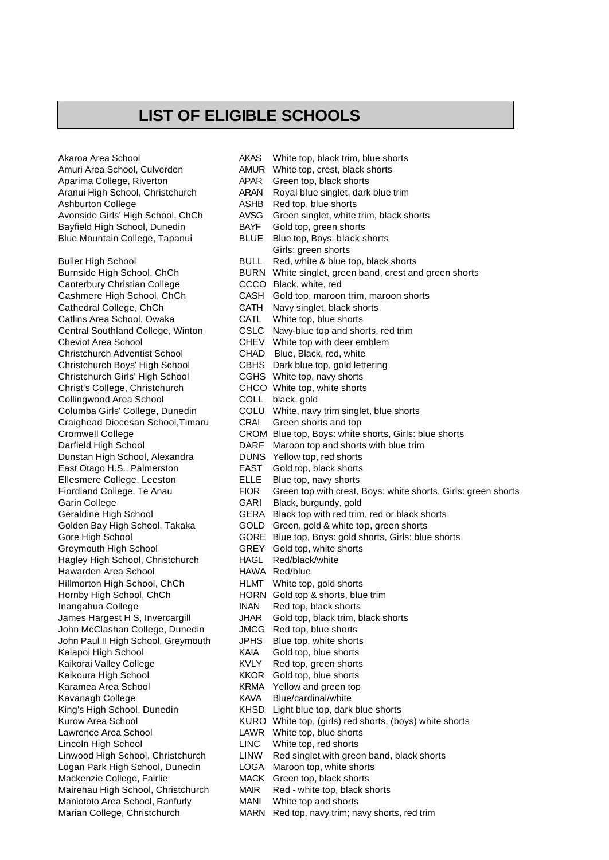## **LIST OF ELIGIBLE SCHOOLS**

Akaroa Area School AKAS White top, black trim, blue shorts Amuri Area School, Culverden **AMUR** White top, crest, black shorts Aparima College, Riverton APAR Green top, black shorts Ashburton College Ashburton College ASHB Red top, blue shorts Bayfield High School, Dunedin BAYF Gold top, green shorts Blue Mountain College, Tapanui BLUE Blue top, Boys: black shorts Canterbury Christian College CCCO Black, white, red Catlins Area School, Owaka CATL White top, blue shorts<br>Central Southland College, Winton CSLC Navy-blue top and sho Cheviot Area School CHEV White top with deer emblem Christchurch Adventist School CHAD Blue, Black, red, white Christchurch Boys' High School CBHS Dark blue top, gold lettering Christchurch Girls' High School CGHS White top, navy shorts Christ's College, Christchurch CHCO White top, white shorts<br>
Collingwood Area School COLL black, gold Collingwood Area School Craighead Diocesan School,Timaru CRAI Green shorts and top Dunstan High School, Alexandra East Otago H.S., Palmerston EAST Gold top, black shorts Ellesmere College, Leeston ELLE Blue top, navy shorts Garin College GARI Black, burgundy, gold Greymouth High School GREY Gold top, white shorts<br>
Haalev High School, Christchurch HAGL Red/black/white Hagley High School, Christchurch Hawarden Area School HAWA Red/blue Hillmorton High School, ChCh HLMT White top, gold shorts Hornby High School, ChCh HORN Gold top & shorts, blue trim Inangahua College INAN Red top, black shorts John McClashan College, Dunedin John Paul II High School, Greymouth JPHS Blue top, white shorts Kaiapoi High School **KAIA** Gold top, blue shorts<br>
Kaikorai Valley College **KVLY** Red top, green shorts Kaikorai Valley College KVLY Red top, green shorts Kaikoura High School KKOR Gold top, blue shorts Karamea Area School KRMA Yellow and green top Kavanagh College **KAVA** Blue/cardinal/white Lawrence Area School **LAWR** White top, blue shorts Lincoln High School LINC White top, red shorts Logan Park High School, Dunedin LOGA Maroon top, white shorts Mackenzie College, Fairlie MACK Green top, black shorts Mairehau High School, Christchurch MAIR Red - white top, black shorts Maniototo Area School, Ranfurly MANI White top and shorts

Aranui High School, Christchurch ARAN Royal blue singlet, dark blue trim Avonside Girls' High School, ChCh AVSG Green singlet, white trim, black shorts Girls: green shorts Buller High School BULL Red, white & blue top, black shorts Burnside High School, ChCh BURN White singlet, green band, crest and green shorts Cashmere High School, ChCh CASH Gold top, maroon trim, maroon shorts<br>Cathedral College, ChCh CATH Navy singlet, black shorts CATH Navy singlet, black shorts CSLC Navy-blue top and shorts, red trim Columba Girls' College, Dunedin COLU White, navy trim singlet, blue shorts Cromwell College CROM Blue top, Boys: white shorts, Girls: blue shorts Darfield High School **DARF** Maroon top and shorts with blue trim<br>DUNS Yellow top, red shorts Fiordland College, Te Anau FIOR Green top with crest, Boys: white shorts, Girls: green shorts Geraldine High School GERA Black top with red trim, red or black shorts Golden Bay High School, Takaka GOLD Green, gold & white top, green shorts Gore High School GORE Blue top, Boys: gold shorts, Girls: blue shorts James Hargest H S, Invercargill JHAR Gold top, black trim, black shorts<br>John McClashan College, Dunedin JMCG Red top, blue shorts King's High School, Dunedin KHSD Light blue top, dark blue shorts Kurow Area School **KURO** White top, (girls) red shorts, (boys) white shorts Linwood High School, Christchurch LINW Red singlet with green band, black shorts Marian College, Christchurch MARN Red top, navy trim; navy shorts, red trim